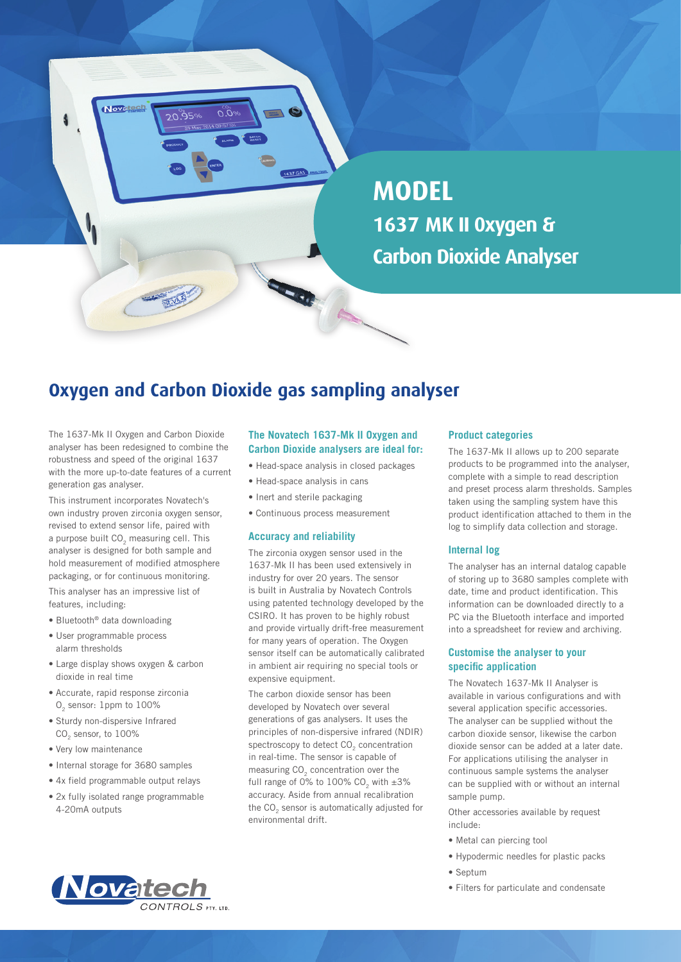

# **MODEL 1637 MK II 0xygen & Carbon Dioxide Analyser**

# **Oxygen and Carbon Dioxide gas sampling analyser**

The 1637-Mk II Oxygen and Carbon Dioxide analyser has been redesigned to combine the robustness and speed of the original 1637 with the more up-to-date features of a current generation gas analyser.

This instrument incorporates Novatech's own industry proven zirconia oxygen sensor, revised to extend sensor life, paired with a purpose built  $CO<sub>2</sub>$  measuring cell. This analyser is designed for both sample and hold measurement of modified atmosphere packaging, or for continuous monitoring.

This analyser has an impressive list of features, including:

- Bluetooth® data downloading
- User programmable process alarm thresholds
- Large display shows oxygen & carbon dioxide in real time
- Accurate, rapid response zirconia O<sub>2</sub> sensor: 1ppm to 100%
- Sturdy non-dispersive Infrared CO<sub>2</sub> sensor, to 100%
- Very low maintenance
- Internal storage for 3680 samples
- 4x field programmable output relays
- 2x fully isolated range programmable 4-20mA outputs



## **The Novatech 1637-Mk II Oxygen and Carbon Dioxide analysers are ideal for:**

- Head-space analysis in closed packages
- Head-space analysis in cans
- Inert and sterile packaging
- Continuous process measurement

#### **Accuracy and reliability**

The zirconia oxygen sensor used in the 1637-Mk II has been used extensively in industry for over 20 years. The sensor is built in Australia by Novatech Controls using patented technology developed by the CSIRO. It has proven to be highly robust and provide virtually drift-free measurement for many years of operation. The Oxygen sensor itself can be automatically calibrated in ambient air requiring no special tools or expensive equipment.

The carbon dioxide sensor has been developed by Novatech over several generations of gas analysers. It uses the principles of non-dispersive infrared (NDIR) spectroscopy to detect CO<sub>2</sub> concentration in real-time. The sensor is capable of measuring CO<sub>2</sub> concentration over the full range of  $0\%$  to 100% CO<sub>2</sub> with  $\pm 3\%$ accuracy. Aside from annual recalibration the CO<sub>2</sub> sensor is automatically adjusted for environmental drift.

#### **Product categories**

The 1637-Mk II allows up to 200 separate products to be programmed into the analyser, complete with a simple to read description and preset process alarm thresholds. Samples taken using the sampling system have this product identification attached to them in the log to simplify data collection and storage.

#### **Internal log**

The analyser has an internal datalog capable of storing up to 3680 samples complete with date, time and product identification. This information can be downloaded directly to a PC via the Bluetooth interface and imported into a spreadsheet for review and archiving.

## **Customise the analyser to your specific application**

The Novatech 1637-Mk II Analyser is available in various configurations and with several application specific accessories. The analyser can be supplied without the carbon dioxide sensor, likewise the carbon dioxide sensor can be added at a later date. For applications utilising the analyser in continuous sample systems the analyser can be supplied with or without an internal sample pump.

Other accessories available by request include:

- Metal can piercing tool
- Hypodermic needles for plastic packs
- Septum
- Filters for particulate and condensate